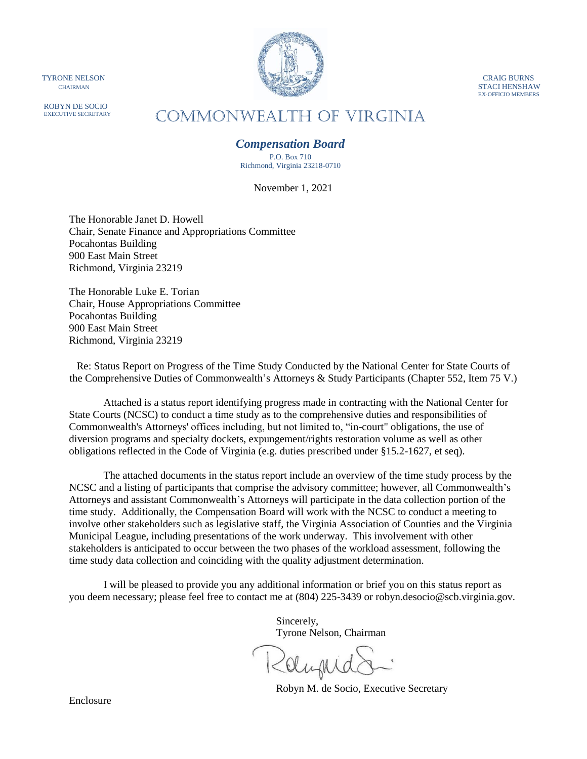ROBYN DE SOCIO EXECUTIVE SECRETARY



EX-OFFICIO MEMBERS

# COMMONWEALTH of VIRGINIA

# *Compensation Board*

P.O. Box 710 Richmond, Virginia 23218-0710

November 1, 2021

The Honorable Janet D. Howell Chair, Senate Finance and Appropriations Committee Pocahontas Building 900 East Main Street Richmond, Virginia 23219

The Honorable Luke E. Torian Chair, House Appropriations Committee Pocahontas Building 900 East Main Street Richmond, Virginia 23219

Re: Status Report on Progress of the Time Study Conducted by the National Center for State Courts of the Comprehensive Duties of Commonwealth's Attorneys & Study Participants (Chapter 552, Item 75 V.)

Attached is a status report identifying progress made in contracting with the National Center for State Courts (NCSC) to conduct a time study as to the comprehensive duties and responsibilities of Commonwealth's Attorneys' offices including, but not limited to, "in-court" obligations, the use of diversion programs and specialty dockets, expungement/rights restoration volume as well as other obligations reflected in the Code of Virginia (e.g. duties prescribed under §15.2-1627, et seq).

The attached documents in the status report include an overview of the time study process by the NCSC and a listing of participants that comprise the advisory committee; however, all Commonwealth's Attorneys and assistant Commonwealth's Attorneys will participate in the data collection portion of the time study. Additionally, the Compensation Board will work with the NCSC to conduct a meeting to involve other stakeholders such as legislative staff, the Virginia Association of Counties and the Virginia Municipal League, including presentations of the work underway. This involvement with other stakeholders is anticipated to occur between the two phases of the workload assessment, following the time study data collection and coinciding with the quality adjustment determination.

I will be pleased to provide you any additional information or brief you on this status report as you deem necessary; please feel free to contact me at (804) 225-3439 or robyn.desocio@scb.virginia.gov.

> Sincerely, Tyrone Nelson, Chairman

Robyn M. de Socio, Executive Secretary

Enclosure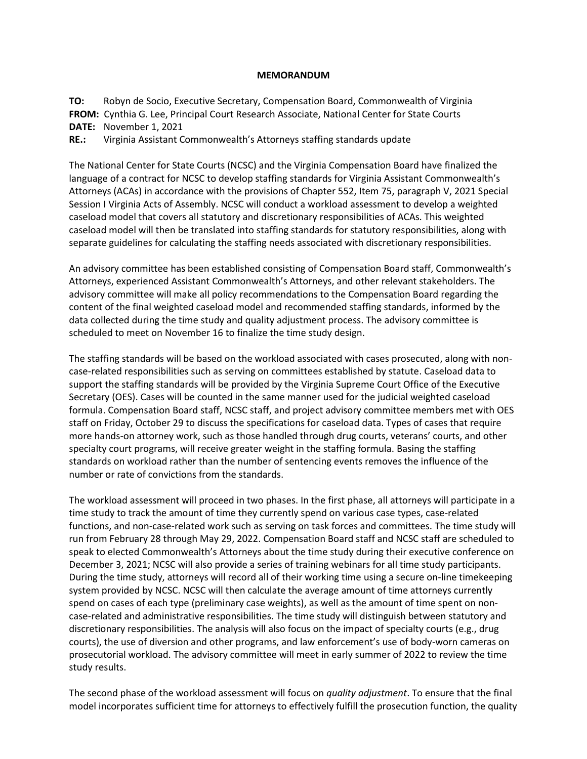#### **MEMORANDUM**

**TO:** Robyn de Socio, Executive Secretary, Compensation Board, Commonwealth of Virginia **FROM:** Cynthia G. Lee, Principal Court Research Associate, National Center for State Courts **DATE:** November 1, 2021

**RE.:** Virginia Assistant Commonwealth's Attorneys staffing standards update

The National Center for State Courts (NCSC) and the Virginia Compensation Board have finalized the language of a contract for NCSC to develop staffing standards for Virginia Assistant Commonwealth's Attorneys (ACAs) in accordance with the provisions of Chapter 552, Item 75, paragraph V, 2021 Special Session I Virginia Acts of Assembly. NCSC will conduct a workload assessment to develop a weighted caseload model that covers all statutory and discretionary responsibilities of ACAs. This weighted caseload model will then be translated into staffing standards for statutory responsibilities, along with separate guidelines for calculating the staffing needs associated with discretionary responsibilities.

An advisory committee has been established consisting of Compensation Board staff, Commonwealth's Attorneys, experienced Assistant Commonwealth's Attorneys, and other relevant stakeholders. The advisory committee will make all policy recommendations to the Compensation Board regarding the content of the final weighted caseload model and recommended staffing standards, informed by the data collected during the time study and quality adjustment process. The advisory committee is scheduled to meet on November 16 to finalize the time study design.

The staffing standards will be based on the workload associated with cases prosecuted, along with noncase-related responsibilities such as serving on committees established by statute. Caseload data to support the staffing standards will be provided by the Virginia Supreme Court Office of the Executive Secretary (OES). Cases will be counted in the same manner used for the judicial weighted caseload formula. Compensation Board staff, NCSC staff, and project advisory committee members met with OES staff on Friday, October 29 to discuss the specifications for caseload data. Types of cases that require more hands-on attorney work, such as those handled through drug courts, veterans' courts, and other specialty court programs, will receive greater weight in the staffing formula. Basing the staffing standards on workload rather than the number of sentencing events removes the influence of the number or rate of convictions from the standards.

The workload assessment will proceed in two phases. In the first phase, all attorneys will participate in a time study to track the amount of time they currently spend on various case types, case-related functions, and non-case-related work such as serving on task forces and committees. The time study will run from February 28 through May 29, 2022. Compensation Board staff and NCSC staff are scheduled to speak to elected Commonwealth's Attorneys about the time study during their executive conference on December 3, 2021; NCSC will also provide a series of training webinars for all time study participants. During the time study, attorneys will record all of their working time using a secure on-line timekeeping system provided by NCSC. NCSC will then calculate the average amount of time attorneys currently spend on cases of each type (preliminary case weights), as well as the amount of time spent on noncase-related and administrative responsibilities. The time study will distinguish between statutory and discretionary responsibilities. The analysis will also focus on the impact of specialty courts (e.g., drug courts), the use of diversion and other programs, and law enforcement's use of body-worn cameras on prosecutorial workload. The advisory committee will meet in early summer of 2022 to review the time study results.

The second phase of the workload assessment will focus on *quality adjustment*. To ensure that the final model incorporates sufficient time for attorneys to effectively fulfill the prosecution function, the quality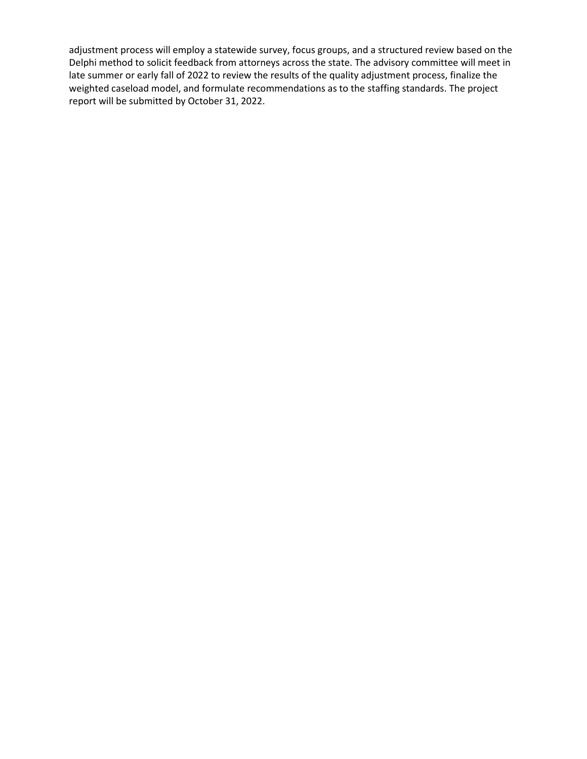adjustment process will employ a statewide survey, focus groups, and a structured review based on the Delphi method to solicit feedback from attorneys across the state. The advisory committee will meet in late summer or early fall of 2022 to review the results of the quality adjustment process, finalize the weighted caseload model, and formulate recommendations as to the staffing standards. The project report will be submitted by October 31, 2022.